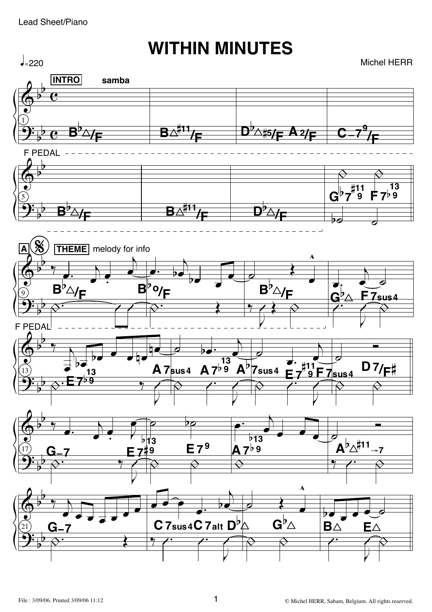## **WITHIN MINUTES**

Michel HERR

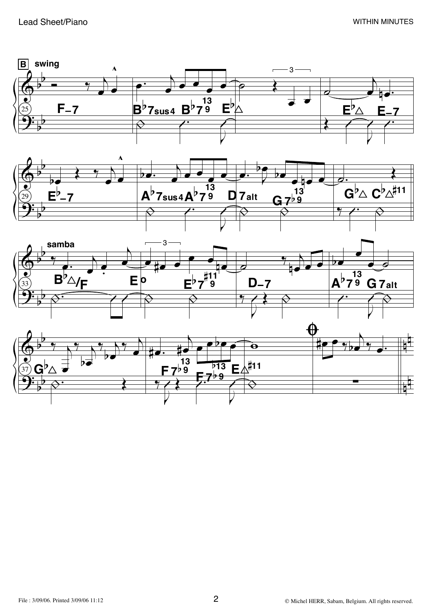





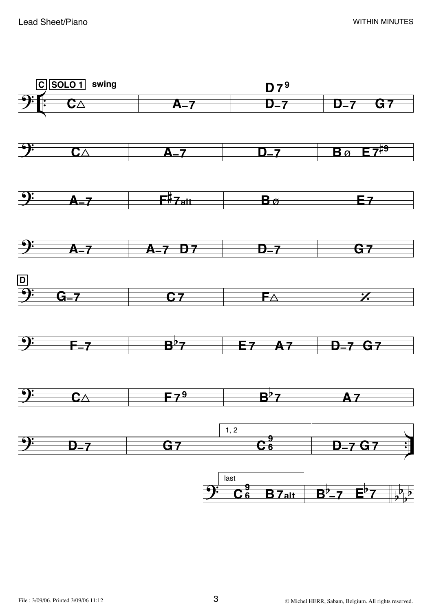